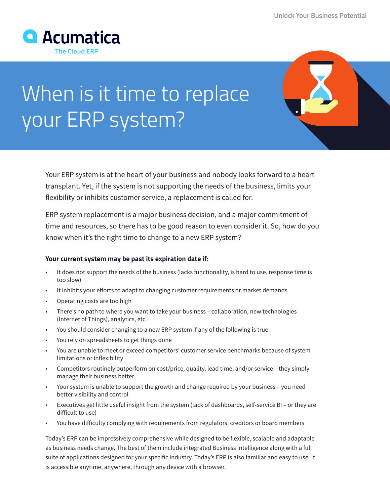

## When is it time to replace your ERP system?

Your ERP system is at the heart of your business and nobody looks forward to a heart transplant. Yet, if the system is not supporting the needs of the business, limits your flexibility or inhibits customer service, a replacement is called for.

ERP system replacement is a major business decision, and a major commitment of time and resources, so there has to be good reason to even consider it. So, how do you know when it's the right time to change to a new ERP system?

## **Your current system may be past its expiration date if:**

- It does not support the needs of the business (lacks functionality, is hard to use, response time is too slow)
- It inhibits your efforts to adapt to changing customer requirements or market demands
- Operating costs are too high
- There's no path to where you want to take your business collaboration, new technologies (Internet of Things), analytics, etc.
- You should consider changing to a new ERP system if any of the following is true:
- You rely on spreadsheets to get things done
- You are unable to meet or exceed competitors' customer service benchmarks because of system limitations or inflexibility
- Competitors routinely outperform on cost/price, quality, lead time, and/or service they simply manage their business better
- Your system is unable to support the growth and change required by your business you need better visibility and control
- Executives get little useful insight from the system (lack of dashboards, self-service BI or they are difficult to use)
- You have difficulty complying with requirements from regulators, creditors or board members

Today's ERP can be impressively comprehensive while designed to be flexible, scalable and adaptable as business needs change. The best of them include integrated Business Intelligence along with a full suite of applications designed for your specific industry. Today's ERP is also familiar and easy to use. It is accessible anytime, anywhere, through any device with a browser.